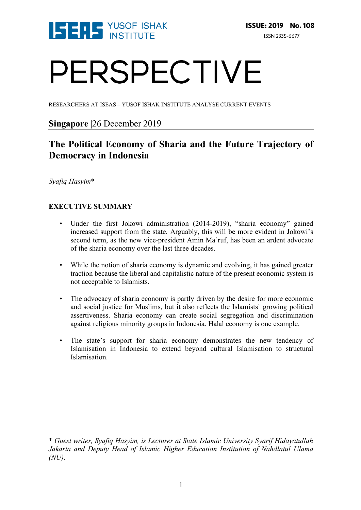

# PERSPECTIVE

RESEARCHERS AT ISEAS – YUSOF ISHAK INSTITUTE ANALYSE CURRENT EVENTS

### **Singapore** |26 December 2019

## **The Political Economy of Sharia and the Future Trajectory of Democracy in Indonesia**

*Syafiq Hasyim*\*

#### **EXECUTIVE SUMMARY**

- Under the first Jokowi administration (2014-2019), "sharia economy" gained increased support from the state. Arguably, this will be more evident in Jokowi's second term, as the new vice-president Amin Ma'ruf, has been an ardent advocate of the sharia economy over the last three decades.
- While the notion of sharia economy is dynamic and evolving, it has gained greater traction because the liberal and capitalistic nature of the present economic system is not acceptable to Islamists.
- The advocacy of sharia economy is partly driven by the desire for more economic and social justice for Muslims, but it also reflects the Islamists` growing political assertiveness. Sharia economy can create social segregation and discrimination against religious minority groups in Indonesia. Halal economy is one example.
- The state's support for sharia economy demonstrates the new tendency of Islamisation in Indonesia to extend beyond cultural Islamisation to structural Islamisation.

<sup>\*</sup> *Guest writer, Syafiq Hasyim, is Lecturer at State Islamic University Syarif Hidayatullah Jakarta and Deputy Head of Islamic Higher Education Institution of Nahdlatul Ulama (NU).*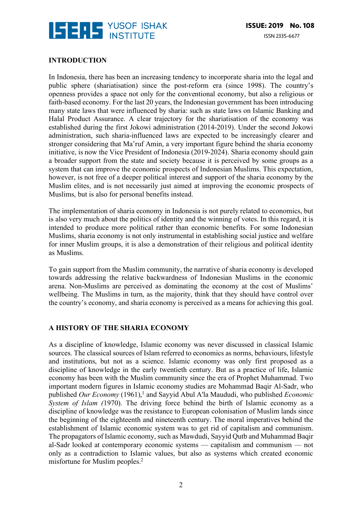

#### **INTRODUCTION**

In Indonesia, there has been an increasing tendency to incorporate sharia into the legal and public sphere (shariatisation) since the post-reform era (since 1998). The country's openness provides a space not only for the conventional economy, but also a religious or faith-based economy. For the last 20 years, the Indonesian government has been introducing many state laws that were influenced by sharia: such as state laws on Islamic Banking and Halal Product Assurance. A clear trajectory for the shariatisation of the economy was established during the first Jokowi administration (2014-2019). Under the second Jokowi administration, such sharia-influenced laws are expected to be increasingly clearer and stronger considering that Ma'ruf Amin, a very important figure behind the sharia economy initiative, is now the Vice President of Indonesia (2019-2024). Sharia economy should gain a broader support from the state and society because it is perceived by some groups as a system that can improve the economic prospects of Indonesian Muslims. This expectation, however, is not free of a deeper political interest and support of the sharia economy by the Muslim elites, and is not necessarily just aimed at improving the economic prospects of Muslims, but is also for personal benefits instead.

The implementation of sharia economy in Indonesia is not purely related to economics, but is also very much about the politics of identity and the winning of votes. In this regard, it is intended to produce more political rather than economic benefits. For some Indonesian Muslims, sharia economy is not only instrumental in establishing social justice and welfare for inner Muslim groups, it is also a demonstration of their religious and political identity as Muslims.

To gain support from the Muslim community, the narrative of sharia economy is developed towards addressing the relative backwardness of Indonesian Muslims in the economic arena. Non-Muslims are perceived as dominating the economy at the cost of Muslims' wellbeing. The Muslims in turn, as the majority, think that they should have control over the country's economy, and sharia economy is perceived as a means for achieving this goal.

#### **A HISTORY OF THE SHARIA ECONOMY**

As a discipline of knowledge, Islamic economy was never discussed in classical Islamic sources. The classical sources of Islam referred to economics as norms, behaviours, lifestyle and institutions, but not as a science. Islamic economy was only first proposed as a discipline of knowledge in the early twentieth century. But as a practice of life, Islamic economy has been with the Muslim community since the era of Prophet Muhammad. Two important modern figures in Islamic economy studies are Mohammad Baqir Al-Sadr, who published *Our Economy* (1961),<sup>1</sup> and Sayyid Abul A'la Maududi, who published *Economic System of Islam (*1970). The driving force behind the birth of Islamic economy as a discipline of knowledge was the resistance to European colonisation of Muslim lands since the beginning of the eighteenth and nineteenth century. The moral imperatives behind the establishment of Islamic economic system was to get rid of capitalism and communism. The propagators of Islamic economy, such as Mawdudi, Sayyid Qutb and Muhammad Baqir al-Sadr looked at contemporary economic systems — capitalism and communism — not only as a contradiction to Islamic values, but also as systems which created economic misfortune for Muslim peoples.2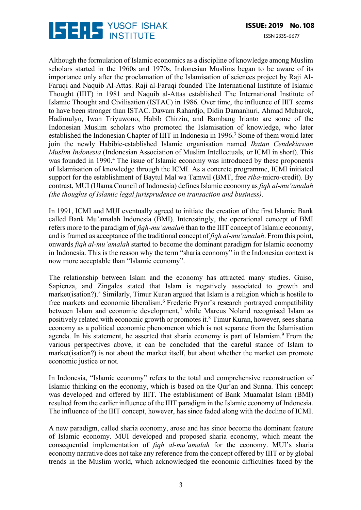

Although the formulation of Islamic economics as a discipline of knowledge among Muslim scholars started in the 1960s and 1970s, Indonesian Muslims began to be aware of its importance only after the proclamation of the Islamisation of sciences project by Raji Al-Faruqi and Naquib Al-Attas. Raji al-Faruqi founded The International Institute of Islamic Thought (IIIT) in 1981 and Naquib al-Attas established The International Institute of Islamic Thought and Civilisation (ISTAC) in 1986. Over time, the influence of IIIT seems to have been stronger than ISTAC. Dawam Rahardjo, Didin Damanhuri, Ahmad Mubarok, Hadimulyo, Iwan Triyuwono, Habib Chirzin, and Bambang Irianto are some of the Indonesian Muslim scholars who promoted the Islamisation of knowledge, who later established the Indonesian Chapter of IIIT in Indonesia in 1996.<sup>3</sup> Some of them would later join the newly Habibie-established Islamic organisation named *Ikatan Cendekiawan Muslim Indonesia* (Indonesian Association of Muslim Intellectuals, or ICMI in short). This was founded in 1990.<sup>4</sup> The issue of Islamic economy was introduced by these proponents of Islamisation of knowledge through the ICMI. As a concrete programme, ICMI initiated support for the establishment of Baytul Mal wa Tamwil (BMT, free *riba*-micro-credit). By contrast, MUI (Ulama Council of Indonesia) defines Islamic economy as *fiqh al-mu'amalah (the thoughts of Islamic legal jurisprudence on transaction and business)*.

In 1991, ICMI and MUI eventually agreed to initiate the creation of the first Islamic Bank called Bank Mu'amalah Indonesia (BMI). Interestingly, the operational concept of BMI refers more to the paradigm of *fiqh-mu'amalah* than to the IIIT concept of Islamic economy, and is framed as acceptance of the traditional concept of *fiqh al-mu'amalah*. From this point, onwards *fiqh al-mu'amalah* started to become the dominant paradigm for Islamic economy in Indonesia. This is the reason why the term "sharia economy" in the Indonesian context is now more acceptable than "Islamic economy".

The relationship between Islam and the economy has attracted many studies. Guiso, Sapienza, and Zingales stated that Islam is negatively associated to growth and market(isation?).<sup>5</sup> Similarly, Timur Kuran argued that Islam is a religion which is hostile to free markets and economic liberalism.6 Frederic Pryor's research portrayed compatibility between Islam and economic development,<sup>7</sup> while Marcus Noland recognised Islam as positively related with economic growth or promotes it.8 Timur Kuran, however, sees sharia economy as a political economic phenomenon which is not separate from the Islamisation agenda. In his statement, he asserted that sharia economy is part of Islamism.<sup>9</sup> From the various perspectives above, it can be concluded that the careful stance of Islam to market(isation?) is not about the market itself, but about whether the market can promote economic justice or not.

In Indonesia, "Islamic economy" refers to the total and comprehensive reconstruction of Islamic thinking on the economy, which is based on the Qur'an and Sunna. This concept was developed and offered by IIIT. The establishment of Bank Muamalat Islam (BMI) resulted from the earlier influence of the IIIT paradigm in the Islamic economy of Indonesia. The influence of the IIIT concept, however, has since faded along with the decline of ICMI.

A new paradigm, called sharia economy, arose and has since become the dominant feature of Islamic economy. MUI developed and proposed sharia economy, which meant the consequential implementation of *fiqh al-mu'amalah* for the economy. MUI's sharia economy narrative does not take any reference from the concept offered by IIIT or by global trends in the Muslim world, which acknowledged the economic difficulties faced by the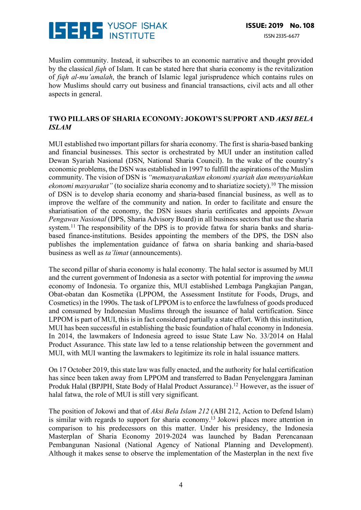

Muslim community. Instead, it subscribes to an economic narrative and thought provided by the classical *fiqh* of Islam. It can be stated here that sharia economy is the revitalization of *fiqh al-mu'amalah*, the branch of Islamic legal jurisprudence which contains rules on how Muslims should carry out business and financial transactions, civil acts and all other aspects in general.

#### **TWO PILLARS OF SHARIA ECONOMY: JOKOWI'S SUPPORT AND** *AKSI BELA ISLAM*

MUI established two important pillars for sharia economy. The first is sharia-based banking and financial businesses. This sector is orchestrated by MUI under an institution called Dewan Syariah Nasional (DSN, National Sharia Council). In the wake of the country's economic problems, the DSN was established in 1997 to fulfill the aspirations of the Muslim community. The vision of DSN is *"memasyarakatkan ekonomi syariah dan mensyariahkan ekonomi masyarakat*" (to socialize sharia economy and to shariatize society).<sup>10</sup> The mission of DSN is to develop sharia economy and sharia-based financial business, as well as to improve the welfare of the community and nation. In order to facilitate and ensure the shariatisation of the economy, the DSN issues sharia certificates and appoints *Dewan Pengawas Nasional* (DPS, Sharia Advisory Board) in all business sectors that use the sharia system.<sup>11</sup> The responsibility of the DPS is to provide fatwa for sharia banks and shariabased finance-institutions. Besides appointing the members of the DPS, the DSN also publishes the implementation guidance of fatwa on sharia banking and sharia-based business as well as *ta'limat* (announcements).

The second pillar of sharia economy is halal economy. The halal sector is assumed by MUI and the current government of Indonesia as a sector with potential for improving the *umma* economy of Indonesia. To organize this, MUI established Lembaga Pangkajian Pangan, Obat-obatan dan Kosmetika (LPPOM, the Assessment Institute for Foods, Drugs, and Cosmetics) in the 1990s. The task of LPPOM is to enforce the lawfulness of goods produced and consumed by Indonesian Muslims through the issuance of halal certification. Since LPPOM is part of MUI, this is in fact considered partially a state effort. With this institution, MUI has been successful in establishing the basic foundation of halal economy in Indonesia. In 2014, the lawmakers of Indonesia agreed to issue State Law No. 33/2014 on Halal Product Assurance. This state law led to a tense relationship between the government and MUI, with MUI wanting the lawmakers to legitimize its role in halal issuance matters.

On 17 October 2019, this state law was fully enacted, and the authority for halal certification has since been taken away from LPPOM and transferred to Badan Penyelenggara Jaminan Produk Halal (BPJPH, State Body of Halal Product Assurance).12 However, as the issuer of halal fatwa, the role of MUI is still very significant.

The position of Jokowi and that of *Aksi Bela Islam 212* (ABI 212, Action to Defend Islam) is similar with regards to support for sharia economy.13 Jokowi places more attention in comparison to his predecessors on this matter. Under his presidency, the Indonesia Masterplan of Sharia Economy 2019-2024 was launched by Badan Perencanaan Pembangunan Nasional (National Agency of National Planning and Development). Although it makes sense to observe the implementation of the Masterplan in the next five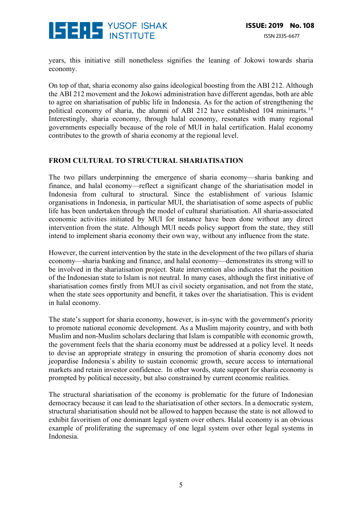

years, this initiative still nonetheless signifies the leaning of Jokowi towards sharia economy.

On top of that, sharia economy also gains ideological boosting from the ABI 212. Although the ABI 212 movement and the Jokowi administration have different agendas, both are able to agree on shariatisation of public life in Indonesia. As for the action of strengthening the political economy of sharia, the alumni of ABI 212 have established 104 minimarts.<sup>14</sup> Interestingly, sharia economy, through halal economy, resonates with many regional governments especially because of the role of MUI in halal certification. Halal economy contributes to the growth of sharia economy at the regional level.

#### **FROM CULTURAL TO STRUCTURAL SHARIATISATION**

The two pillars underpinning the emergence of sharia economy—sharia banking and finance, and halal economy—reflect a significant change of the shariatisation model in Indonesia from cultural to structural. Since the establishment of various Islamic organisations in Indonesia, in particular MUI, the shariatisation of some aspects of public life has been undertaken through the model of cultural shariatisation. All sharia-associated economic activities initiated by MUI for instance have been done without any direct intervention from the state. Although MUI needs policy support from the state, they still intend to implement sharia economy their own way, without any influence from the state.

However, the current intervention by the state in the development of the two pillars of sharia economy—sharia banking and finance, and halal economy—demonstrates its strong will to be involved in the shariatisation project. State intervention also indicates that the position of the Indonesian state to Islam is not neutral. In many cases, although the first initiative of shariatisation comes firstly from MUI as civil society organisation, and not from the state, when the state sees opportunity and benefit, it takes over the shariatisation. This is evident in halal economy.

The state's support for sharia economy, however, is in-sync with the government's priority to promote national economic development. As a Muslim majority country, and with both Muslim and non-Muslim scholars declaring that Islam is compatible with economic growth, the government feels that the sharia economy must be addressed at a policy level. It needs to devise an appropriate strategy in ensuring the promotion of sharia economy does not jeopardise Indonesia`s ability to sustain economic growth, secure access to international markets and retain investor confidence. In other words, state support for sharia economy is prompted by political necessity, but also constrained by current economic realities.

The structural shariatisation of the economy is problematic for the future of Indonesian democracy because it can lead to the shariatisation of other sectors. In a democratic system, structural shariatisation should not be allowed to happen because the state is not allowed to exhibit favoritism of one dominant legal system over others. Halal economy is an obvious example of proliferating the supremacy of one legal system over other legal systems in Indonesia.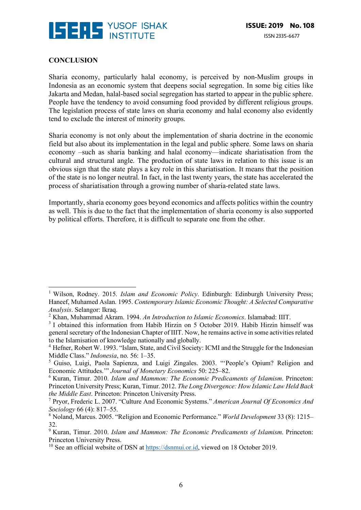

#### **CONCLUSION**

 

Sharia economy, particularly halal economy, is perceived by non-Muslim groups in Indonesia as an economic system that deepens social segregation. In some big cities like Jakarta and Medan, halal-based social segregation has started to appear in the public sphere. People have the tendency to avoid consuming food provided by different religious groups. The legislation process of state laws on sharia economy and halal economy also evidently tend to exclude the interest of minority groups.

Sharia economy is not only about the implementation of sharia doctrine in the economic field but also about its implementation in the legal and public sphere. Some laws on sharia economy –such as sharia banking and halal economy—indicate shariatisation from the cultural and structural angle. The production of state laws in relation to this issue is an obvious sign that the state plays a key role in this shariatisation. It means that the position of the state is no longer neutral. In fact, in the last twenty years, the state has accelerated the process of shariatisation through a growing number of sharia-related state laws.

Importantly, sharia economy goes beyond economics and affects politics within the country as well. This is due to the fact that the implementation of sharia economy is also supported by political efforts. Therefore, it is difficult to separate one from the other.

<sup>&</sup>lt;sup>1</sup> Wilson, Rodney. 2015. *Islam and Economic Policy*. Edinburgh: Edinburgh University Press; Haneef, Muhamed Aslan. 1995. *Contemporary Islamic Economic Thought: A Selected Comparative Analysis*. Selangor: Ikraq.

<sup>2</sup> Khan, Muhammad Akram. 1994. *An Introduction to Islamic Economics*. Islamabad: IIIT.

<sup>&</sup>lt;sup>3</sup> I obtained this information from Habib Hirzin on 5 October 2019. Habib Hirzin himself was general secretary of the Indonesian Chapter of IIIT. Now, he remains active in some activities related to the Islamisation of knowledge nationally and globally.

<sup>&</sup>lt;sup>4</sup> Hefner, Robert W. 1993. "Islam, State, and Civil Society: ICMI and the Struggle for the Indonesian Middle Class." *Indonesia*, no. 56: 1–35.

<sup>5</sup> Guiso, Luigi, Paola Sapienza, and Luigi Zingales. 2003. "'People's Opium? Religion and Economic Attitudes.'" *Journal of Monetary Economics* 50: 225–82.

<sup>6</sup> Kuran, Timur. 2010. *Islam and Mammon: The Economic Predicaments of Islamism*. Princeton: Princeton University Press; Kuran, Timur. 2012. *The Long Divergence: How Islamic Law Held Back the Middle East*. Princeton: Princeton University Press.

<sup>7</sup> Pryor, Frederic L. 2007. "Culture And Economic Systems." *American Journal Of Economics And Sociology* 66 (4): 817–55.

<sup>8</sup> Noland, Marcus. 2005. "Religion and Economic Performance." *World Development* 33 (8): 1215– 32.

<sup>9</sup> Kuran, Timur. 2010. *Islam and Mammon: The Economic Predicaments of Islamism*. Princeton: Princeton University Press.

<sup>&</sup>lt;sup>10</sup> See an official website of DSN at https://dsnmui.or.id, viewed on 18 October 2019.